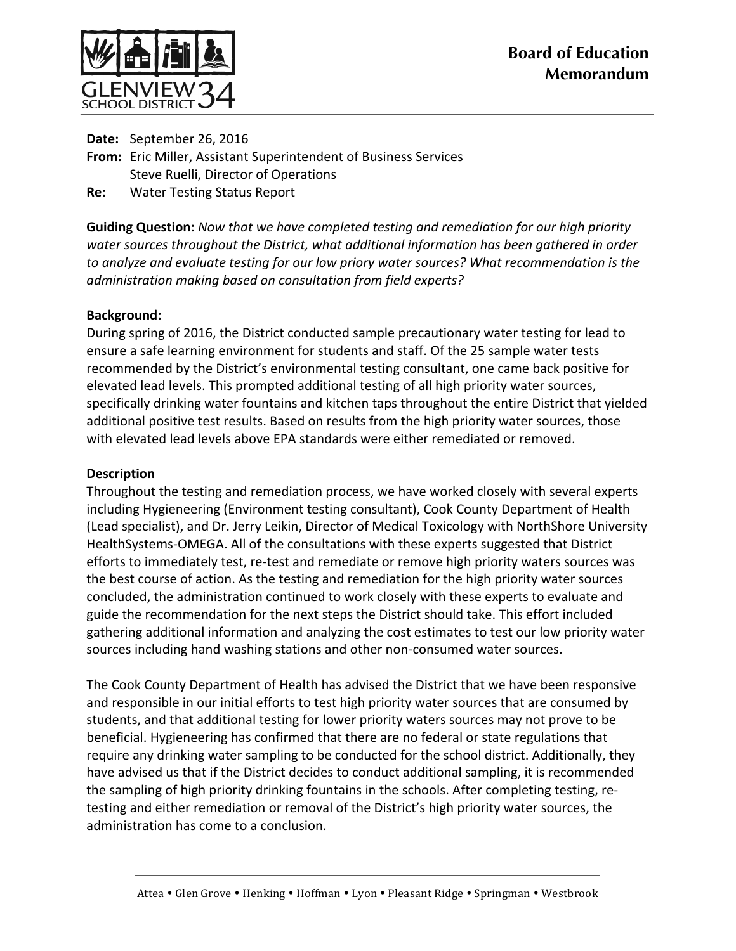

**Date:** September 26, 2016 From: Eric Miller, Assistant Superintendent of Business Services Steve Ruelli, Director of Operations

**Re:** Water Testing Status Report

**Guiding Question:** Now that we have completed testing and remediation for our high priority water sources throughout the District, what additional *information* has been gathered in order to analyze and evaluate testing for our low priory water sources? What recommendation is the *administration making based on consultation from field experts?*

## **Background:**

During spring of 2016, the District conducted sample precautionary water testing for lead to ensure a safe learning environment for students and staff. Of the 25 sample water tests recommended by the District's environmental testing consultant, one came back positive for elevated lead levels. This prompted additional testing of all high priority water sources, specifically drinking water fountains and kitchen taps throughout the entire District that yielded additional positive test results. Based on results from the high priority water sources, those with elevated lead levels above EPA standards were either remediated or removed.

## **Description**

Throughout the testing and remediation process, we have worked closely with several experts including Hygieneering (Environment testing consultant), Cook County Department of Health (Lead specialist), and Dr. Jerry Leikin, Director of Medical Toxicology with NorthShore University HealthSystems-OMEGA. All of the consultations with these experts suggested that District efforts to immediately test, re-test and remediate or remove high priority waters sources was the best course of action. As the testing and remediation for the high priority water sources concluded, the administration continued to work closely with these experts to evaluate and guide the recommendation for the next steps the District should take. This effort included gathering additional information and analyzing the cost estimates to test our low priority water sources including hand washing stations and other non-consumed water sources.

The Cook County Department of Health has advised the District that we have been responsive and responsible in our initial efforts to test high priority water sources that are consumed by students, and that additional testing for lower priority waters sources may not prove to be beneficial. Hygieneering has confirmed that there are no federal or state regulations that require any drinking water sampling to be conducted for the school district. Additionally, they have advised us that if the District decides to conduct additional sampling, it is recommended the sampling of high priority drinking fountains in the schools. After completing testing, retesting and either remediation or removal of the District's high priority water sources, the administration has come to a conclusion.